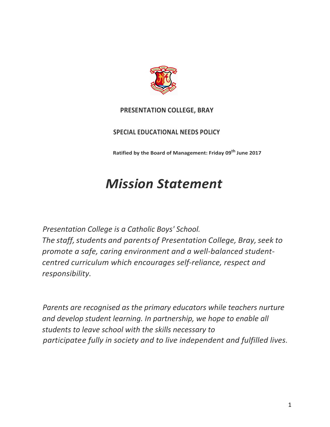

# **PRESENTATION COLLEGE, BRAY**

# **SPECIAL EDUCATIONAL NEEDS POLICY**

**Ratified by the Board of Management: Friday 09th June 2017**

# *Mission Statement*

*Presentation College is a Catholic Boys' School. The staff, students and parents of Presentation College, Bray, seek to promote a safe, caring environment and a well-balanced studentcentred curriculum which encourages self-reliance, respect and responsibility.*

*Parents are recognised as the primary educators while teachers nurture and develop student learning. In partnership, we hope to enable all students to leave school with the skills necessary to participatee fully in society and to live independent and fulfilled lives.*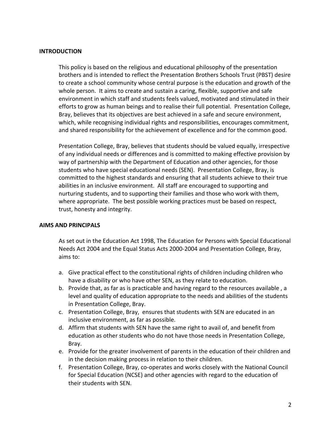#### **INTRODUCTION**

This policy is based on the religious and educational philosophy of the presentation brothers and is intended to reflect the Presentation Brothers Schools Trust (PBST) desire to create a school community whose central purpose is the education and growth of the whole person. It aims to create and sustain a caring, flexible, supportive and safe environment in which staff and students feels valued, motivated and stimulated in their efforts to grow as human beings and to realise their full potential. Presentation College, Bray, believes that its objectives are best achieved in a safe and secure environment, which, while recognising individual rights and responsibilities, encourages commitment, and shared responsibility for the achievement of excellence and for the common good.

Presentation College, Bray, believes that students should be valued equally, irrespective of any individual needs or differences and is committed to making effective provision by way of partnership with the Department of Education and other agencies, for those students who have special educational needs (SEN). Presentation College, Bray, is committed to the highest standards and ensuring that all students achieve to their true abilities in an inclusive environment. All staff are encouraged to supporting and nurturing students, and to supporting their families and those who work with them, where appropriate. The best possible working practices must be based on respect, trust, honesty and integrity.

#### **AIMS AND PRINCIPALS**

As set out in the Education Act 1998, The Education for Persons with Special Educational Needs Act 2004 and the Equal Status Acts 2000-2004 and Presentation College, Bray, aims to:

- a. Give practical effect to the constitutional rights of children including children who have a disability or who have other SEN, as they relate to education.
- b. Provide that, as far as is practicable and having regard to the resources available , a level and quality of education appropriate to the needs and abilities of the students in Presentation College, Bray.
- c. Presentation College, Bray, ensures that students with SEN are educated in an inclusive environment, as far as possible.
- d. Affirm that students with SEN have the same right to avail of, and benefit from education as other students who do not have those needs in Presentation College, Bray.
- e. Provide for the greater involvement of parents in the education of their children and in the decision making process in relation to their children.
- f. Presentation College, Bray, co-operates and works closely with the National Council for Special Education (NCSE) and other agencies with regard to the education of their students with SEN.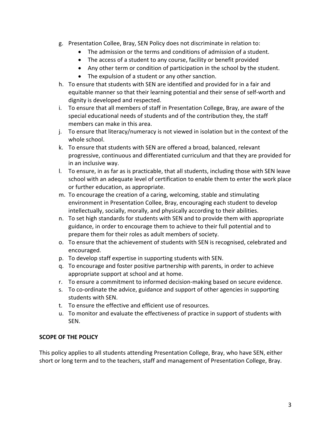- g. Presentation Collee, Bray, SEN Policy does not discriminate in relation to:
	- The admission or the terms and conditions of admission of a student.
	- The access of a student to any course, facility or benefit provided
	- Any other term or condition of participation in the school by the student.
	- The expulsion of a student or any other sanction.
- h. To ensure that students with SEN are identified and provided for in a fair and equitable manner so that their learning potential and their sense of self-worth and dignity is developed and respected.
- i. To ensure that all members of staff in Presentation College, Bray, are aware of the special educational needs of students and of the contribution they, the staff members can make in this area.
- j. To ensure that literacy/numeracy is not viewed in isolation but in the context of the whole school.
- k. To ensure that students with SEN are offered a broad, balanced, relevant progressive, continuous and differentiated curriculum and that they are provided for in an inclusive way.
- l. To ensure, in as far as is practicable, that all students, including those with SEN leave school with an adequate level of certification to enable them to enter the work place or further education, as appropriate.
- m. To encourage the creation of a caring, welcoming, stable and stimulating environment in Presentation Collee, Bray, encouraging each student to develop intellectually, socially, morally, and physically according to their abilities.
- n. To set high standards for students with SEN and to provide them with appropriate guidance, in order to encourage them to achieve to their full potential and to prepare them for their roles as adult members of society.
- o. To ensure that the achievement of students with SEN is recognised, celebrated and encouraged.
- p. To develop staff expertise in supporting students with SEN.
- q. To encourage and foster positive partnership with parents, in order to achieve appropriate support at school and at home.
- r. To ensure a commitment to informed decision-making based on secure evidence.
- s. To co-ordinate the advice, guidance and support of other agencies in supporting students with SEN.
- t. To ensure the effective and efficient use of resources.
- u. To monitor and evaluate the effectiveness of practice in support of students with SEN.

## **SCOPE OF THE POLICY**

This policy applies to all students attending Presentation College, Bray, who have SEN, either short or long term and to the teachers, staff and management of Presentation College, Bray.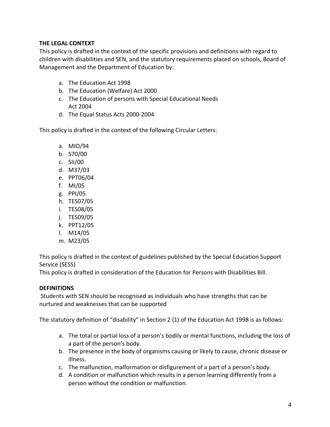## **THE LEGAL CONTEXT**

This policy is drafted in the context of the specific provisions and definitions with regard to children with disabilities and SEN, and the statutory requirements placed on schools, Board of Management and the Department of Education by:

- a. The Education Act 1998
- b. The Education (Welfare) Act 2000
- c. The Education of persons with Special Educational Needs Act 2004
- d. The Equal Status Acts 2000-2004

This policy is drafted in the context of the following Circular Letters:

- a. MIO/94
- b. S70/00
- c. SII/00
- d. M37/03
- e. PPT06/04
- f. MI/05
- g. PPI/05
- h. TES07/05
- i. TES08/05
- j. TES09/05
- k. PPT12/05
- l. M14/05
- m. M23/05

This policy is drafted in the context of guidelines published by the Special Education Support Service (SESS)

This policy is drafted in consideration of the Education for Persons with Disabilities Bill.

#### **DEFINITIONS**

Students with SEN should be recognised as individuals who have strengths that can be nurtured and weaknesses that can be supported

The statutory definition of "disability" in Section 2 (1) of the Education Act 1998 is as follows:

- a. The total or partial loss of a person's bodily or mental functions, including the loss of a part of the person's body.
- b. The presence in the body of organisms causing or likely to cause, chronic disease or illness.
- c. The malfunction, malformation or disfigurement of a part of a person's body.
- d. A condition or malfunction which results in a person learning differently from a person without the condition or malfunction.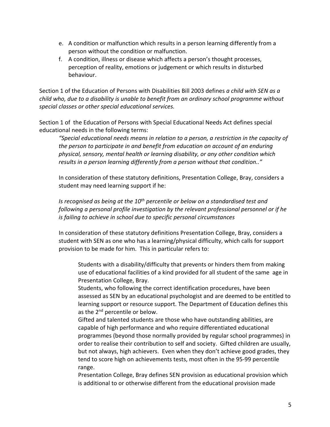- e. A condition or malfunction which results in a person learning differently from a person without the condition or malfunction.
- f. A condition, illness or disease which affects a person's thought processes, perception of reality, emotions or judgement or which results in disturbed behaviour.

Section 1 of the Education of Persons with Disabilities Bill 2003 defines *a child with SEN as a child who, due to a disability is unable to benefit from an ordinary school programme without special classes or other special educational services.*

Section 1 of the Education of Persons with Special Educational Needs Act defines special educational needs in the following terms:

*"Special educational needs means in relation to a person, a restriction in the capacity of the person to participate in and benefit from education on account of an enduring physical, sensory, mental health or learning disability, or any other condition which results in a person learning differently from a person without that condition.."*

In consideration of these statutory definitions, Presentation College, Bray, considers a student may need learning support if he:

*Is recognised as being at the 10th percentile or below on a standardised test and following a personal profile investigation by the relevant professional personnel or if he is failing to achieve in school due to specific personal circumstances*

In consideration of these statutory definitions Presentation College, Bray, considers a student with SEN as one who has a learning/physical difficulty, which calls for support provision to be made for him. This in particular refers to:

Students with a disability/difficulty that prevents or hinders them from making use of educational facilities of a kind provided for all student of the same age in Presentation College, Bray.

Students, who following the correct identification procedures, have been assessed as SEN by an educational psychologist and are deemed to be entitled to learning support or resource support. The Department of Education defines this as the 2<sup>nd</sup> percentile or below.

Gifted and talented students are those who have outstanding abilities, are capable of high performance and who require differentiated educational programmes (beyond those normally provided by regular school programmes) in order to realise their contribution to self and society. Gifted children are usually, but not always, high achievers. Even when they don't achieve good grades, they tend to score high on achievements tests, most often in the 95-99 percentile range.

Presentation College, Bray defines SEN provision as educational provision which is additional to or otherwise different from the educational provision made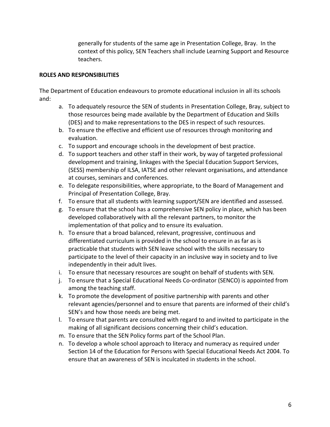generally for students of the same age in Presentation College, Bray. In the context of this policy, SEN Teachers shall include Learning Support and Resource teachers.

#### **ROLES AND RESPONSIBILITIES**

The Department of Education endeavours to promote educational inclusion in all its schools and:

- a. To adequately resource the SEN of students in Presentation College, Bray, subject to those resources being made available by the Department of Education and Skills (DES) and to make representations to the DES in respect of such resources.
- b. To ensure the effective and efficient use of resources through monitoring and evaluation.
- c. To support and encourage schools in the development of best practice.
- d. To support teachers and other staff in their work, by way of targeted professional development and training, linkages with the Special Education Support Services, (SESS) membership of ILSA, IATSE and other relevant organisations, and attendance at courses, seminars and conferences.
- e. To delegate responsibilities, where appropriate, to the Board of Management and Principal of Presentation College, Bray.
- f. To ensure that all students with learning support/SEN are identified and assessed.
- g. To ensure that the school has a comprehensive SEN policy in place, which has been developed collaboratively with all the relevant partners, to monitor the implementation of that policy and to ensure its evaluation.
- h. To ensure that a broad balanced, relevant, progressive, continuous and differentiated curriculum is provided in the school to ensure in as far as is practicable that students with SEN leave school with the skills necessary to participate to the level of their capacity in an inclusive way in society and to live independently in their adult lives.
- i. To ensure that necessary resources are sought on behalf of students with SEN.
- j. To ensure that a Special Educational Needs Co-ordinator (SENCO) is appointed from among the teaching staff.
- k. To promote the development of positive partnership with parents and other relevant agencies/personnel and to ensure that parents are informed of their child's SEN's and how those needs are being met.
- l. To ensure that parents are consulted with regard to and invited to participate in the making of all significant decisions concerning their child's education.
- m. To ensure that the SEN Policy forms part of the School Plan.
- n. To develop a whole school approach to literacy and numeracy as required under Section 14 of the Education for Persons with Special Educational Needs Act 2004. To ensure that an awareness of SEN is inculcated in students in the school.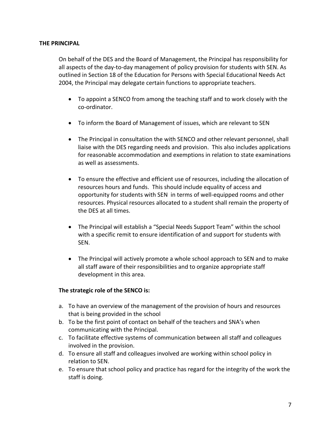#### **THE PRINCIPAL**

On behalf of the DES and the Board of Management, the Principal has responsibility for all aspects of the day-to-day management of policy provision for students with SEN. As outlined in Section 18 of the Education for Persons with Special Educational Needs Act 2004, the Principal may delegate certain functions to appropriate teachers.

- To appoint a SENCO from among the teaching staff and to work closely with the co-ordinator.
- To inform the Board of Management of issues, which are relevant to SEN
- The Principal in consultation the with SENCO and other relevant personnel, shall liaise with the DES regarding needs and provision. This also includes applications for reasonable accommodation and exemptions in relation to state examinations as well as assessments.
- To ensure the effective and efficient use of resources, including the allocation of resources hours and funds. This should include equality of access and opportunity for students with SEN in terms of well-equipped rooms and other resources. Physical resources allocated to a student shall remain the property of the DES at all times.
- The Principal will establish a "Special Needs Support Team" within the school with a specific remit to ensure identification of and support for students with SEN.
- The Principal will actively promote a whole school approach to SEN and to make all staff aware of their responsibilities and to organize appropriate staff development in this area.

#### **The strategic role of the SENCO is:**

- a. To have an overview of the management of the provision of hours and resources that is being provided in the school
- b. To be the first point of contact on behalf of the teachers and SNA's when communicating with the Principal.
- c. To facilitate effective systems of communication between all staff and colleagues involved in the provision.
- d. To ensure all staff and colleagues involved are working within school policy in relation to SEN.
- e. To ensure that school policy and practice has regard for the integrity of the work the staff is doing.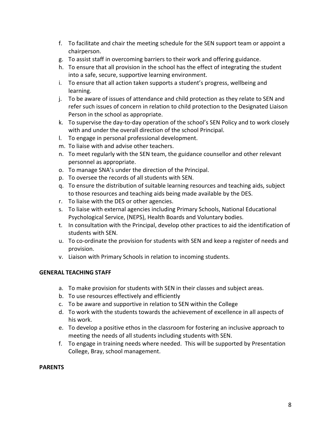- f. To facilitate and chair the meeting schedule for the SEN support team or appoint a chairperson.
- g. To assist staff in overcoming barriers to their work and offering guidance.
- h. To ensure that all provision in the school has the effect of integrating the student into a safe, secure, supportive learning environment.
- i. To ensure that all action taken supports a student's progress, wellbeing and learning.
- j. To be aware of issues of attendance and child protection as they relate to SEN and refer such issues of concern in relation to child protection to the Designated Liaison Person in the school as appropriate.
- k. To supervise the day-to-day operation of the school's SEN Policy and to work closely with and under the overall direction of the school Principal.
- l. To engage in personal professional development.
- m. To liaise with and advise other teachers.
- n. To meet regularly with the SEN team, the guidance counsellor and other relevant personnel as appropriate.
- o. To manage SNA's under the direction of the Principal.
- p. To oversee the records of all students with SEN.
- q. To ensure the distribution of suitable learning resources and teaching aids, subject to those resources and teaching aids being made available by the DES.
- r. To liaise with the DES or other agencies.
- s. To liaise with external agencies including Primary Schools, National Educational Psychological Service, (NEPS), Health Boards and Voluntary bodies.
- t. In consultation with the Principal, develop other practices to aid the identification of students with SEN.
- u. To co-ordinate the provision for students with SEN and keep a register of needs and provision.
- v. Liaison with Primary Schools in relation to incoming students.

#### **GENERAL TEACHING STAFF**

- a. To make provision for students with SEN in their classes and subject areas.
- b. To use resources effectively and efficiently
- c. To be aware and supportive in relation to SEN within the College
- d. To work with the students towards the achievement of excellence in all aspects of his work.
- e. To develop a positive ethos in the classroom for fostering an inclusive approach to meeting the needs of all students including students with SEN.
- f. To engage in training needs where needed. This will be supported by Presentation College, Bray, school management.

#### **PARENTS**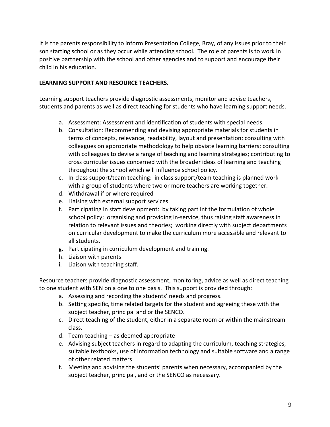It is the parents responsibility to inform Presentation College, Bray, of any issues prior to their son starting school or as they occur while attending school. The role of parents is to work in positive partnership with the school and other agencies and to support and encourage their child in his education.

## **LEARNING SUPPORT AND RESOURCE TEACHERS.**

Learning support teachers provide diagnostic assessments, monitor and advise teachers, students and parents as well as direct teaching for students who have learning support needs.

- a. Assessment: Assessment and identification of students with special needs.
- b. Consultation: Recommending and devising appropriate materials for students in terms of concepts, relevance, readability, layout and presentation; consulting with colleagues on appropriate methodology to help obviate learning barriers; consulting with colleagues to devise a range of teaching and learning strategies; contributing to cross curricular issues concerned with the broader ideas of learning and teaching throughout the school which will influence school policy.
- c. In-class support/team teaching: in class support/team teaching is planned work with a group of students where two or more teachers are working together.
- d. Withdrawal if or where required
- e. Liaising with external support services.
- f. Participating in staff development: by taking part int the formulation of whole school policy; organising and providing in-service, thus raising staff awareness in relation to relevant issues and theories; working directly with subject departments on curricular development to make the curriculum more accessible and relevant to all students.
- g. Participating in curriculum development and training.
- h. Liaison with parents
- i. Liaison with teaching staff.

Resource teachers provide diagnostic assessment, monitoring, advice as well as direct teaching to one student with SEN on a one to one basis. This support is provided through:

- a. Assessing and recording the students' needs and progress.
- b. Setting specific, time related targets for the student and agreeing these with the subject teacher, principal and or the SENCO.
- c. Direct teaching of the student, either in a separate room or within the mainstream class.
- d. Team-teaching as deemed appropriate
- e. Advising subject teachers in regard to adapting the curriculum, teaching strategies, suitable textbooks, use of information technology and suitable software and a range of other related matters
- f. Meeting and advising the students' parents when necessary, accompanied by the subject teacher, principal, and or the SENCO as necessary.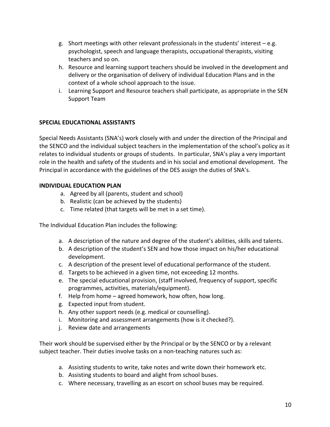- g. Short meetings with other relevant professionals in the students' interest e.g. psychologist, speech and language therapists, occupational therapists, visiting teachers and so on.
- h. Resource and learning support teachers should be involved in the development and delivery or the organisation of delivery of individual Education Plans and in the context of a whole school approach to the issue.
- i. Learning Support and Resource teachers shall participate, as appropriate in the SEN Support Team

## **SPECIAL EDUCATIONAL ASSISTANTS**

Special Needs Assistants (SNA's) work closely with and under the direction of the Principal and the SENCO and the individual subject teachers in the implementation of the school's policy as it relates to individual students or groups of students. In particular, SNA's play a very important role in the health and safety of the students and in his social and emotional development. The Principal in accordance with the guidelines of the DES assign the duties of SNA's.

## **INDIVIDUAL EDUCATION PLAN**

- a. Agreed by all (parents, student and school)
- b. Realistic (can be achieved by the students)
- c. Time related (that targets will be met in a set time).

The Individual Education Plan includes the following:

- a. A description of the nature and degree of the student's abilities, skills and talents.
- b. A description of the student's SEN and how those impact on his/her educational development.
- c. A description of the present level of educational performance of the student.
- d. Targets to be achieved in a given time, not exceeding 12 months.
- e. The special educational provision, (staff involved, frequency of support, specific programmes, activities, materials/equipment).
- f. Help from home agreed homework, how often, how long.
- g. Expected input from student.
- h. Any other support needs (e.g. medical or counselling).
- i. Monitoring and assessment arrangements (how is it checked?).
- j. Review date and arrangements

Their work should be supervised either by the Principal or by the SENCO or by a relevant subject teacher. Their duties involve tasks on a non-teaching natures such as:

- a. Assisting students to write, take notes and write down their homework etc.
- b. Assisting students to board and alight from school buses.
- c. Where necessary, travelling as an escort on school buses may be required.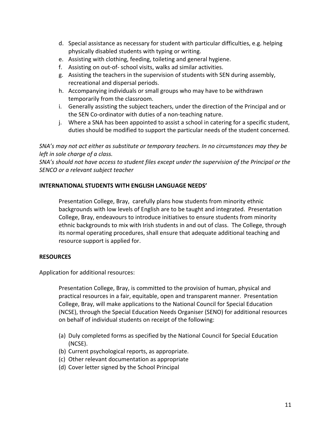- d. Special assistance as necessary for student with particular difficulties, e.g. helping physically disabled students with typing or writing.
- e. Assisting with clothing, feeding, toileting and general hygiene.
- f. Assisting on out-of- school visits, walks ad similar activities.
- g. Assisting the teachers in the supervision of students with SEN during assembly, recreational and dispersal periods.
- h. Accompanying individuals or small groups who may have to be withdrawn temporarily from the classroom.
- i. Generally assisting the subject teachers, under the direction of the Principal and or the SEN Co-ordinator with duties of a non-teaching nature.
- j. Where a SNA has been appointed to assist a school in catering for a specific student, duties should be modified to support the particular needs of the student concerned.

*SNA's may not act either as substitute or temporary teachers. In no circumstances may they be left in sole charge of a class.*

*SNA's should not have access to student files except under the supervision of the Principal or the SENCO or a relevant subject teacher*

## **INTERNATIONAL STUDENTS WITH ENGLISH LANGUAGE NEEDS'**

Presentation College, Bray, carefully plans how students from minority ethnic backgrounds with low levels of English are to be taught and integrated. Presentation College, Bray, endeavours to introduce initiatives to ensure students from minority ethnic backgrounds to mix with Irish students in and out of class. The College, through its normal operating procedures, shall ensure that adequate additional teaching and resource support is applied for.

#### **RESOURCES**

Application for additional resources:

Presentation College, Bray, is committed to the provision of human, physical and practical resources in a fair, equitable, open and transparent manner. Presentation College, Bray, will make applications to the National Council for Special Education (NCSE), through the Special Education Needs Organiser (SENO) for additional resources on behalf of individual students on receipt of the following:

- (a) Duly completed forms as specified by the National Council for Special Education (NCSE).
- (b) Current psychological reports, as appropriate.
- (c) Other relevant documentation as appropriate
- (d) Cover letter signed by the School Principal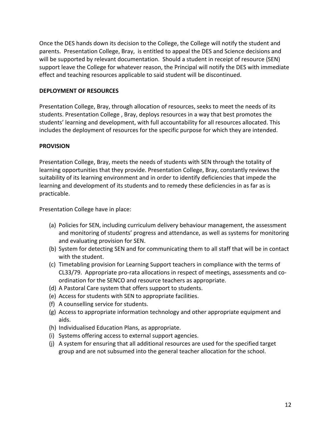Once the DES hands down its decision to the College, the College will notify the student and parents. Presentation College, Bray, is entitled to appeal the DES and Science decisions and will be supported by relevant documentation. Should a student in receipt of resource (SEN) support leave the College for whatever reason, the Principal will notify the DES with immediate effect and teaching resources applicable to said student will be discontinued.

#### **DEPLOYMENT OF RESOURCES**

Presentation College, Bray, through allocation of resources, seeks to meet the needs of its students. Presentation College , Bray, deploys resources in a way that best promotes the students' learning and development, with full accountability for all resources allocated. This includes the deployment of resources for the specific purpose for which they are intended.

#### **PROVISION**

Presentation College, Bray, meets the needs of students with SEN through the totality of learning opportunities that they provide. Presentation College, Bray, constantly reviews the suitability of its learning environment and in order to identify deficiencies that impede the learning and development of its students and to remedy these deficiencies in as far as is practicable.

Presentation College have in place:

- (a) Policies for SEN, including curriculum delivery behaviour management, the assessment and monitoring of students' progress and attendance, as well as systems for monitoring and evaluating provision for SEN.
- (b) System for detecting SEN and for communicating them to all staff that will be in contact with the student.
- (c) Timetabling provision for Learning Support teachers in compliance with the terms of CL33/79. Appropriate pro-rata allocations in respect of meetings, assessments and coordination for the SENCO and resource teachers as appropriate.
- (d) A Pastoral Care system that offers support to students.
- (e) Access for students with SEN to appropriate facilities.
- (f) A counselling service for students.
- (g) Access to appropriate information technology and other appropriate equipment and aids.
- (h) Individualised Education Plans, as appropriate.
- (i) Systems offering access to external support agencies.
- (j) A system for ensuring that all additional resources are used for the specified target group and are not subsumed into the general teacher allocation for the school.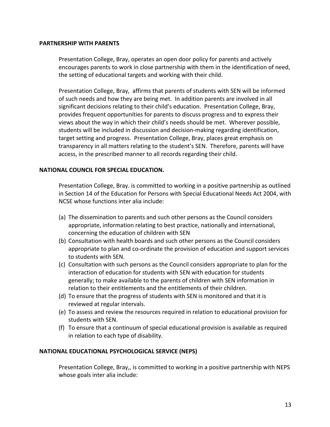#### **PARTNERSHIP WITH PARENTS**

Presentation College, Bray, operates an open door policy for parents and actively encourages parents to work in close partnership with them in the identification of need, the setting of educational targets and working with their child.

Presentation College, Bray, affirms that parents of students with SEN will be informed of such needs and how they are being met. In addition parents are involved in all significant decisions relating to their child's education. Presentation College, Bray, provides frequent opportunities for parents to discuss progress and to express their views about the way in which their child's needs should be met. Wherever possible, students will be included in discussion and decision-making regarding identification, target setting and progress. Presentation College, Bray, places great emphasis on transparency in all matters relating to the student's SEN. Therefore, parents will have access, in the prescribed manner to all records regarding their child.

#### **NATIONAL COUNCIL FOR SPECIAL EDUCATION.**

Presentation College, Bray. is committed to working in a positive partnership as outlined in Section 14 of the Education for Persons with Special Educational Needs Act 2004, with NCSE whose functions inter alia include:

- (a) The dissemination to parents and such other persons as the Council considers appropriate, information relating to best practice, nationally and international, concerning the education of children with SEN
- (b) Consultation with health boards and such other persons as the Council considers appropriate to plan and co-ordinate the provision of education and support services to students with SEN.
- (c) Consultation with such persons as the Council considers appropriate to plan for the interaction of education for students with SEN with education for students generally; to make available to the parents of children with SEN information in relation to their entitlements and the entitlements of their children.
- (d) To ensure that the progress of students with SEN is monitored and that it is reviewed at regular intervals.
- (e) To assess and review the resources required in relation to educational provision for students with SEN.
- (f) To ensure that a continuum of special educational provision is available as required in relation to each type of disability.

#### **NATIONAL EDUCATIONAL PSYCHOLOGICAL SERVICE (NEPS)**

Presentation College, Bray,, is committed to working in a positive partnership with NEPS whose goals inter alia include: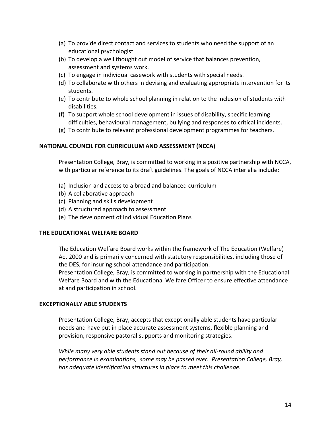- (a) To provide direct contact and services to students who need the support of an educational psychologist.
- (b) To develop a well thought out model of service that balances prevention, assessment and systems work.
- (c) To engage in individual casework with students with special needs.
- (d) To collaborate with others in devising and evaluating appropriate intervention for its students.
- (e) To contribute to whole school planning in relation to the inclusion of students with disabilities.
- (f) To support whole school development in issues of disability, specific learning difficulties, behavioural management, bullying and responses to critical incidents.
- (g) To contribute to relevant professional development programmes for teachers.

#### **NATIONAL COUNCIL FOR CURRICULUM AND ASSESSMENT (NCCA)**

Presentation College, Bray, is committed to working in a positive partnership with NCCA, with particular reference to its draft guidelines. The goals of NCCA inter alia include:

- (a) Inclusion and access to a broad and balanced curriculum
- (b) A collaborative approach
- (c) Planning and skills development
- (d) A structured approach to assessment
- (e) The development of Individual Education Plans

#### **THE EDUCATIONAL WELFARE BOARD**

The Education Welfare Board works within the framework of The Education (Welfare) Act 2000 and is primarily concerned with statutory responsibilities, including those of the DES, for insuring school attendance and participation.

Presentation College, Bray, is committed to working in partnership with the Educational Welfare Board and with the Educational Welfare Officer to ensure effective attendance at and participation in school.

#### **EXCEPTIONALLY ABLE STUDENTS**

Presentation College, Bray, accepts that exceptionally able students have particular needs and have put in place accurate assessment systems, flexible planning and provision, responsive pastoral supports and monitoring strategies.

*While many very able students stand out because of their all-round ability and performance in examinations, some may be passed over. Presentation College, Bray, has adequate identification structures in place to meet this challenge.*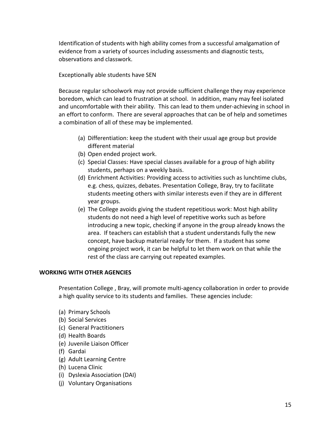Identification of students with high ability comes from a successful amalgamation of evidence from a variety of sources including assessments and diagnostic tests, observations and classwork.

Exceptionally able students have SEN

Because regular schoolwork may not provide sufficient challenge they may experience boredom, which can lead to frustration at school. In addition, many may feel isolated and uncomfortable with their ability. This can lead to them under-achieving in school in an effort to conform. There are several approaches that can be of help and sometimes a combination of all of these may be implemented.

- (a) Differentiation: keep the student with their usual age group but provide different material
- (b) Open ended project work.
- (c) Special Classes: Have special classes available for a group of high ability students, perhaps on a weekly basis.
- (d) Enrichment Activities: Providing access to activities such as lunchtime clubs, e.g. chess, quizzes, debates. Presentation College, Bray, try to facilitate students meeting others with similar interests even if they are in different year groups.
- (e) The College avoids giving the student repetitious work: Most high ability students do not need a high level of repetitive works such as before introducing a new topic, checking if anyone in the group already knows the area. If teachers can establish that a student understands fully the new concept, have backup material ready for them. If a student has some ongoing project work, it can be helpful to let them work on that while the rest of the class are carrying out repeated examples.

#### **WORKING WITH OTHER AGENCIES**

Presentation College , Bray, will promote multi-agency collaboration in order to provide a high quality service to its students and families. These agencies include:

- (a) Primary Schools
- (b) Social Services
- (c) General Practitioners
- (d) Health Boards
- (e) Juvenile Liaison Officer
- (f) Gardai
- (g) Adult Learning Centre
- (h) Lucena Clinic
- (i) Dyslexia Association (DAI)
- (j) Voluntary Organisations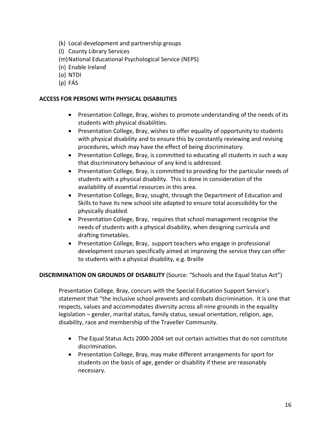- (k) Local development and partnership groups
- (l) County Library Services
- (m)National Educational Psychological Service (NEPS)
- (n) Enable Ireland
- (o) NTDI
- (p) FÁS

### **ACCESS FOR PERSONS WITH PHYSICAL DISABILITIES**

- Presentation College, Bray, wishes to promote understanding of the needs of its students with physical disabilities.
- Presentation College, Bray, wishes to offer equality of opportunity to students with physical disability and to ensure this by constantly reviewing and revising procedures, which may have the effect of being discriminatory.
- Presentation College, Bray, is committed to educating all students in such a way that discriminatory behaviour of any kind is addressed.
- Presentation College, Bray, is committed to providing for the particular needs of students with a physical disability. This is done in consideration of the availability of essential resources in this area.
- Presentation College, Bray, sought, through the Department of Education and Skills to have its new school site adapted to ensure total accessibility for the physically disabled.
- Presentation College, Bray, requires that school management recognise the needs of students with a physical disability, when designing curricula and drafting timetables.
- Presentation College, Bray, support teachers who engage in professional development courses specifically aimed at improving the service they can offer to students with a physical disability, e.g. Braille

## **DISCRIMINATION ON GROUNDS OF DISABILITY** (Source: "Schools and the Equal Status Act")

Presentation College, Bray, concurs with the Special Education Support Service's statement that "the inclusive school prevents and combats discrimination. It is one that respects, values and accommodates diversity across all nine grounds in the equality legislation – gender, marital status, family status, sexual orientation, religion, age, disability, race and membership of the Traveller Community.

- The Equal Status Acts 2000-2004 set out certain activities that do not constitute discrimination.
- Presentation College, Bray, may make different arrangements for sport for students on the basis of age, gender or disability if these are reasonably necessary.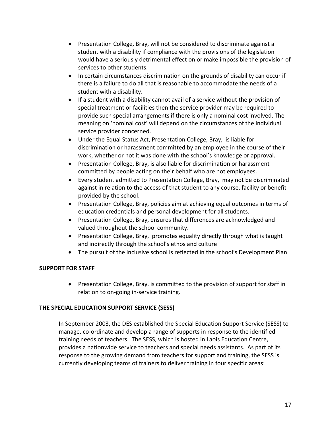- Presentation College, Bray, will not be considered to discriminate against a student with a disability if compliance with the provisions of the legislation would have a seriously detrimental effect on or make impossible the provision of services to other students.
- In certain circumstances discrimination on the grounds of disability can occur if there is a failure to do all that is reasonable to accommodate the needs of a student with a disability.
- If a student with a disability cannot avail of a service without the provision of special treatment or facilities then the service provider may be required to provide such special arrangements if there is only a nominal cost involved. The meaning on 'nominal cost' will depend on the circumstances of the individual service provider concerned.
- Under the Equal Status Act, Presentation College, Bray, is liable for discrimination or harassment committed by an employee in the course of their work, whether or not it was done with the school's knowledge or approval.
- Presentation College, Bray, is also liable for discrimination or harassment committed by people acting on their behalf who are not employees.
- Every student admitted to Presentation College, Bray, may not be discriminated against in relation to the access of that student to any course, facility or benefit provided by the school.
- Presentation College, Bray, policies aim at achieving equal outcomes in terms of education credentials and personal development for all students.
- Presentation College, Bray, ensures that differences are acknowledged and valued throughout the school community.
- Presentation College, Bray, promotes equality directly through what is taught and indirectly through the school's ethos and culture
- The pursuit of the inclusive school is reflected in the school's Development Plan

## **SUPPORT FOR STAFF**

• Presentation College, Bray, is committed to the provision of support for staff in relation to on-going in-service training.

## **THE SPECIAL EDUCATION SUPPORT SERVICE (SESS)**

In September 2003, the DES established the Special Education Support Service (SESS) to manage, co-ordinate and develop a range of supports in response to the identified training needs of teachers. The SESS, which is hosted in Laois Education Centre, provides a nationwide service to teachers and special needs assistants. As part of its response to the growing demand from teachers for support and training, the SESS is currently developing teams of trainers to deliver training in four specific areas: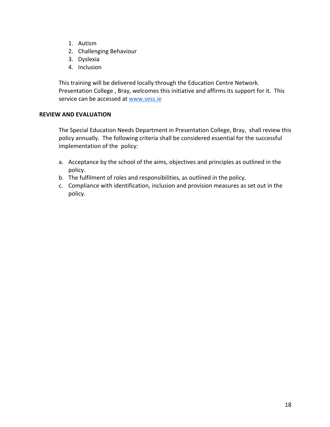- 1. Autism
- 2. Challenging Behaviour
- 3. Dyslexia
- 4. Inclusion

This training will be delivered locally through the Education Centre Network. Presentation College , Bray, welcomes this initiative and affirms its support for it. This service can be accessed at www.sess.ie

## **REVIEW AND EVALUATION**

The Special Education Needs Department in Presentation College, Bray, shall review this policy annually. The following criteria shall be considered essential for the successful implementation of the policy:

- a. Acceptance by the school of the aims, objectives and principles as outlined in the policy.
- b. The fulfilment of roles and responsibilities, as outlined in the policy.
- c. Compliance with identification, inclusion and provision measures as set out in the policy.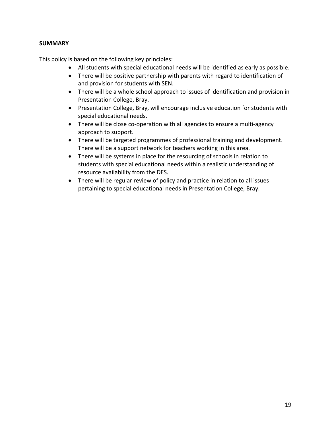## **SUMMARY**

This policy is based on the following key principles:

- All students with special educational needs will be identified as early as possible.
- There will be positive partnership with parents with regard to identification of and provision for students with SEN.
- There will be a whole school approach to issues of identification and provision in Presentation College, Bray.
- Presentation College, Bray, will encourage inclusive education for students with special educational needs.
- There will be close co-operation with all agencies to ensure a multi-agency approach to support.
- There will be targeted programmes of professional training and development. There will be a support network for teachers working in this area.
- There will be systems in place for the resourcing of schools in relation to students with special educational needs within a realistic understanding of resource availability from the DES.
- There will be regular review of policy and practice in relation to all issues pertaining to special educational needs in Presentation College, Bray.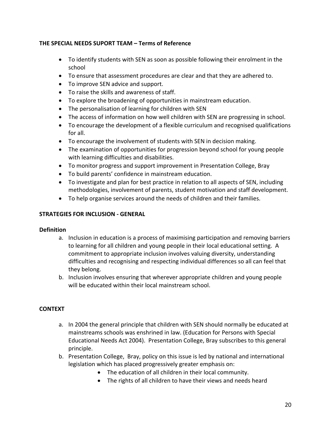## **THE SPECIAL NEEDS SUPORT TEAM – Terms of Reference**

- To identify students with SEN as soon as possible following their enrolment in the school
- To ensure that assessment procedures are clear and that they are adhered to.
- To improve SEN advice and support.
- To raise the skills and awareness of staff.
- To explore the broadening of opportunities in mainstream education.
- The personalisation of learning for children with SEN
- The access of information on how well children with SEN are progressing in school.
- To encourage the development of a flexible curriculum and recognised qualifications for all.
- To encourage the involvement of students with SEN in decision making.
- The examination of opportunities for progression beyond school for young people with learning difficulties and disabilities.
- To monitor progress and support improvement in Presentation College, Bray
- To build parents' confidence in mainstream education.
- To investigate and plan for best practice in relation to all aspects of SEN, including methodologies, involvement of parents, student motivation and staff development.
- To help organise services around the needs of children and their families.

## **STRATEGIES FOR INCLUSION - GENERAL**

## **Definition**

- a. Inclusion in education is a process of maximising participation and removing barriers to learning for all children and young people in their local educational setting. A commitment to appropriate inclusion involves valuing diversity, understanding difficulties and recognising and respecting individual differences so all can feel that they belong.
- b. Inclusion involves ensuring that wherever appropriate children and young people will be educated within their local mainstream school.

## **CONTEXT**

- a. In 2004 the general principle that children with SEN should normally be educated at mainstreams schools was enshrined in law. (Education for Persons with Special Educational Needs Act 2004). Presentation College, Bray subscribes to this general principle.
- b. Presentation College, Bray, policy on this issue is led by national and international legislation which has placed progressively greater emphasis on:
	- The education of all children in their local community.
	- The rights of all children to have their views and needs heard